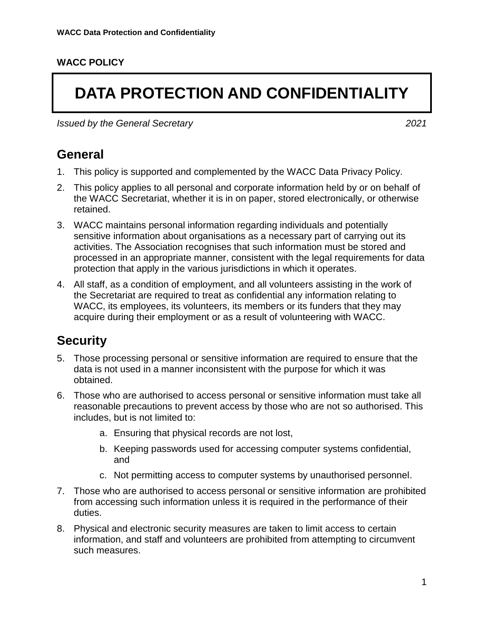#### **WACC POLICY**

# **DATA PROTECTION AND CONFIDENTIALITY**

*Issued by the General Secretary 2021*

#### **General**

- 1. This policy is supported and complemented by the WACC Data Privacy Policy.
- 2. This policy applies to all personal and corporate information held by or on behalf of the WACC Secretariat, whether it is in on paper, stored electronically, or otherwise retained.
- 3. WACC maintains personal information regarding individuals and potentially sensitive information about organisations as a necessary part of carrying out its activities. The Association recognises that such information must be stored and processed in an appropriate manner, consistent with the legal requirements for data protection that apply in the various jurisdictions in which it operates.
- 4. All staff, as a condition of employment, and all volunteers assisting in the work of the Secretariat are required to treat as confidential any information relating to WACC, its employees, its volunteers, its members or its funders that they may acquire during their employment or as a result of volunteering with WACC.

#### **Security**

- 5. Those processing personal or sensitive information are required to ensure that the data is not used in a manner inconsistent with the purpose for which it was obtained.
- 6. Those who are authorised to access personal or sensitive information must take all reasonable precautions to prevent access by those who are not so authorised. This includes, but is not limited to:
	- a. Ensuring that physical records are not lost,
	- b. Keeping passwords used for accessing computer systems confidential, and
	- c. Not permitting access to computer systems by unauthorised personnel.
- 7. Those who are authorised to access personal or sensitive information are prohibited from accessing such information unless it is required in the performance of their duties.
- 8. Physical and electronic security measures are taken to limit access to certain information, and staff and volunteers are prohibited from attempting to circumvent such measures.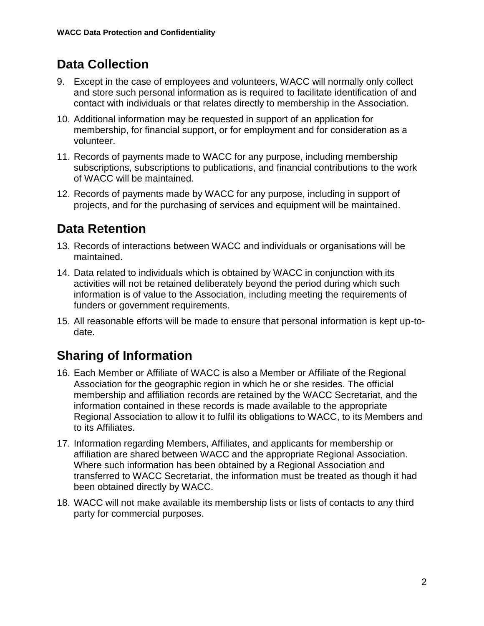# **Data Collection**

- 9. Except in the case of employees and volunteers, WACC will normally only collect and store such personal information as is required to facilitate identification of and contact with individuals or that relates directly to membership in the Association.
- 10. Additional information may be requested in support of an application for membership, for financial support, or for employment and for consideration as a volunteer.
- 11. Records of payments made to WACC for any purpose, including membership subscriptions, subscriptions to publications, and financial contributions to the work of WACC will be maintained.
- 12. Records of payments made by WACC for any purpose, including in support of projects, and for the purchasing of services and equipment will be maintained.

# **Data Retention**

- 13. Records of interactions between WACC and individuals or organisations will be maintained.
- 14. Data related to individuals which is obtained by WACC in conjunction with its activities will not be retained deliberately beyond the period during which such information is of value to the Association, including meeting the requirements of funders or government requirements.
- 15. All reasonable efforts will be made to ensure that personal information is kept up-todate.

# **Sharing of Information**

- 16. Each Member or Affiliate of WACC is also a Member or Affiliate of the Regional Association for the geographic region in which he or she resides. The official membership and affiliation records are retained by the WACC Secretariat, and the information contained in these records is made available to the appropriate Regional Association to allow it to fulfil its obligations to WACC, to its Members and to its Affiliates.
- 17. Information regarding Members, Affiliates, and applicants for membership or affiliation are shared between WACC and the appropriate Regional Association. Where such information has been obtained by a Regional Association and transferred to WACC Secretariat, the information must be treated as though it had been obtained directly by WACC.
- 18. WACC will not make available its membership lists or lists of contacts to any third party for commercial purposes.